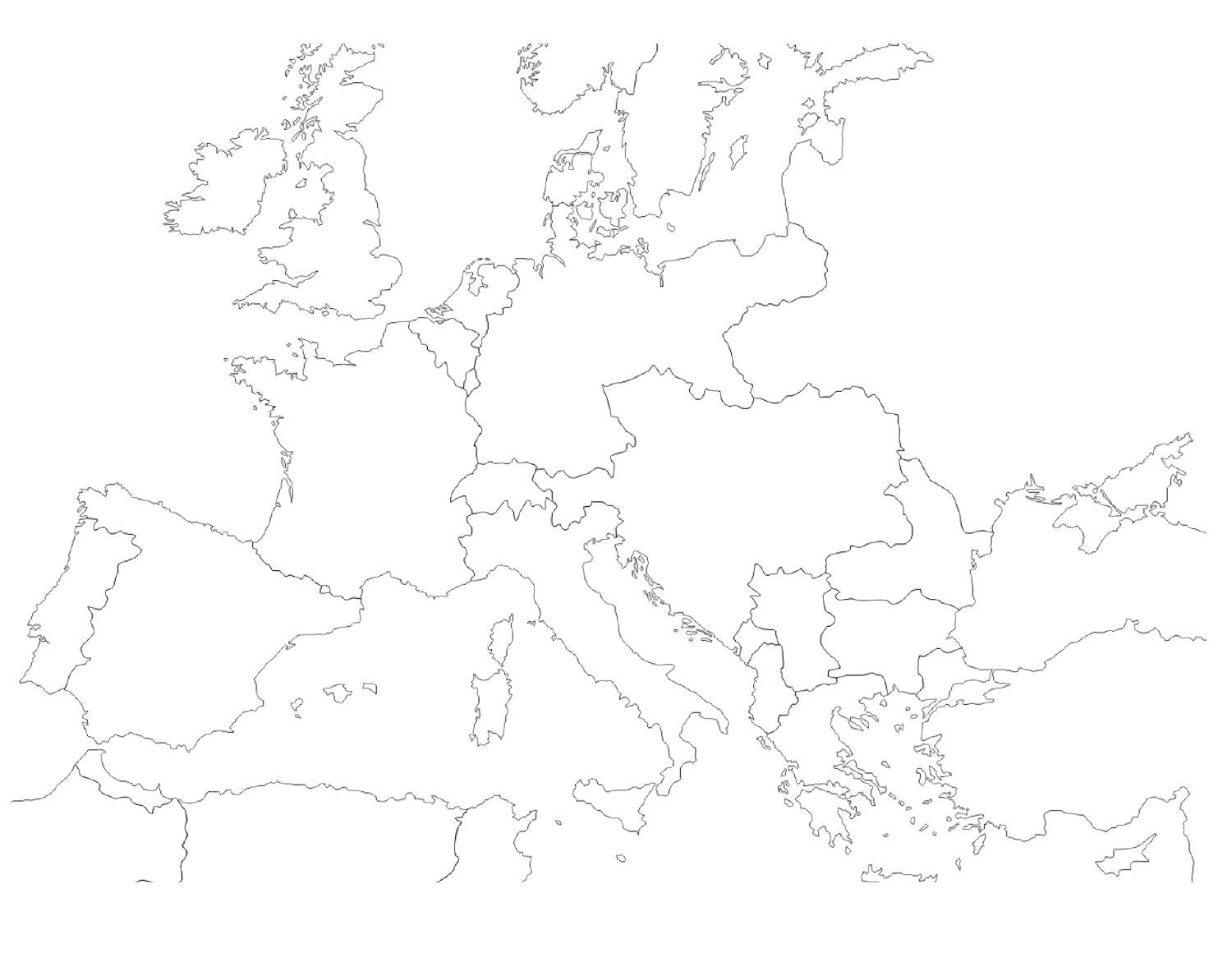